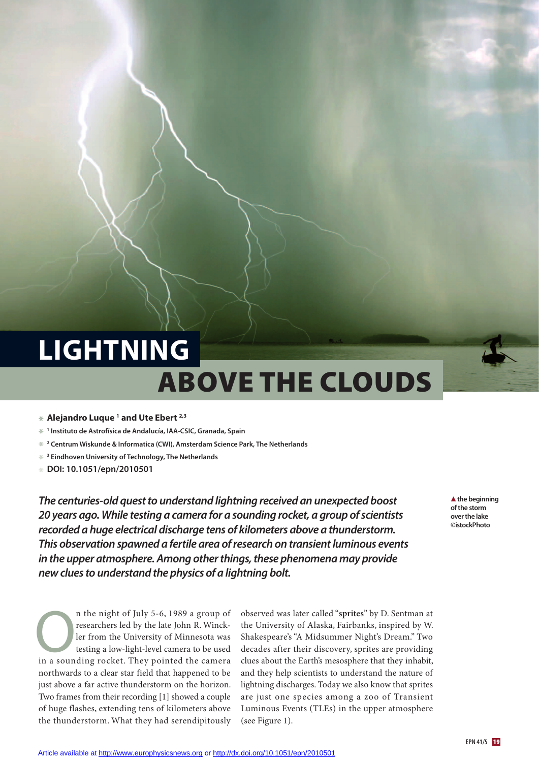# **above the clouds LIGhTNING**

#### **\* Alejandro Luque <sup>1</sup> and Ute Ebert 2,3**

- **\* <sup>1</sup> Instituto de Astrofísica de Andalucía, IAA-CSIC, Granada, Spain**
- **\* <sup>2</sup> Centrum Wiskunde & Informatica (CWI), Amsterdam Science Park, The Netherlands**
- **\* <sup>3</sup> Eindhoven University of Technology, The Netherlands**
- **\* DOI: 10.1051/epn/2010501**

*The centuries-old questto understand lightning received an unexpected boost 20 years ago. While testing a camera for a sounding rocket, a group ofscientists recorded a huge electrical discharge tens of kilometers above a thunderstorm. This observation spawned a fertile area ofresearch on transientluminous events in the upper atmosphere. Among otherthings,these phenomena may provide new cluesto understand the physics of a lightning bolt.*

n the night of July 5-6, 1989 a group of researchers led by the late John R. Winckler from the University of Minnesota was testing a low-light-level camera to be used n the night of July 5-6, 1989 a group of<br>researchers led by the late John R. Winck-<br>ler from the University of Minnesota was<br>testing a low-light-level camera to be used<br>in a sounding rocket. They pointed the camera northwards to a clear star field that happened to be just above a far active thunderstorm on the horizon. Two frames from their recording [1] showed a couple of huge flashes, extending tens of kilometers above the thunderstorm. What they had serendipitously

observed was later called "**sprites**" by D. Sentman at the University of Alaska, Fairbanks, inspired by W. Shakespeare's "A Midsummer Night's Dream." Two decades after their discovery, sprites are providing clues about the Earth's mesosphere that they inhabit, and they help scientists to understand the nature of lightning discharges. Today we also know that sprites are just one species among a zoo of Transient Luminous Events (TLEs) in the upper atmosphere (see Figure 1).

 **the beginning ofthe storm overthe lake ©istockPhoto**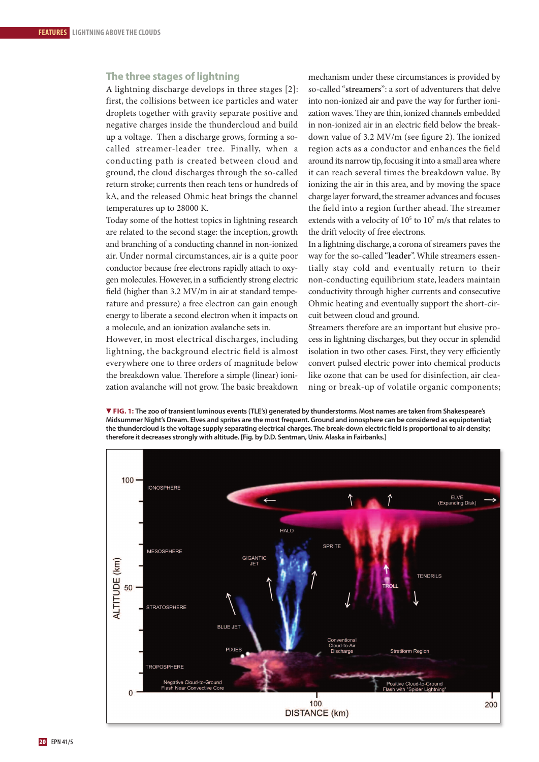# **The three stages of lightning**

A lightning discharge develops in three stages [2]: first, the collisions between ice particles and water droplets together with gravity separate positive and negative charges inside the thundercloud and build up a voltage. Then a discharge grows, forming a socalled streamer-leader tree. Finally, when a conducting path is created between cloud and ground, the cloud discharges through the so-called return stroke; currents then reach tens or hundreds of kA, and the released Ohmic heat brings the channel temperatures up to 28000 K.

Today some of the hottest topics in lightning research are related to the second stage: the inception, growth and branching of a conducting channel in non-ionized air. Under normal circumstances, air is a quite poor conductor because free electrons rapidly attach to oxygen molecules.However, in a sufficiently strong electric field (higher than 3.2 MV/m in air at standard temperature and pressure) a free electron can gain enough energy to liberate a second electron when it impacts on a molecule, and an ionization avalanche sets in.

However, in most electrical discharges, including lightning, the background electric field is almost everywhere one to three orders of magnitude below the breakdown value. Therefore a simple (linear) ionization avalanche will not grow. The basic breakdown

mechanism under these circumstances is provided by so-called "**streamers**": a sort of adventurers that delve into non-ionized air and pave the way for further ionization waves. They are thin, ionized channels embedded in non-ionized air in an electric field below the breakdown value of  $3.2$  MV/m (see figure 2). The ionized region acts as a conductor and enhances the field around its narrow tip,focusing it into a small area where it can reach several times the breakdown value. By ionizing the air in this area, and by moving the space charge layer forward, the streamer advances and focuses the field into a region further ahead. The streamer extends with a velocity of  $10^5$  to  $10^7$  m/s that relates to the drift velocity of free electrons.

In a lightning discharge, a corona of streamers paves the way for the so-called "**leader**".While streamers essentially stay cold and eventually return to their non-conducting equilibrium state, leaders maintain conductivity through higher currents and consecutive Ohmic heating and eventually support the short-circuit between cloud and ground.

Streamers therefore are an important but elusive process in lightning discharges, but they occur in splendid isolation in two other cases. First, they very efficiently convert pulsed electric power into chemical products like ozone that can be used for disinfection, air cleaning or break-up of volatile organic components;



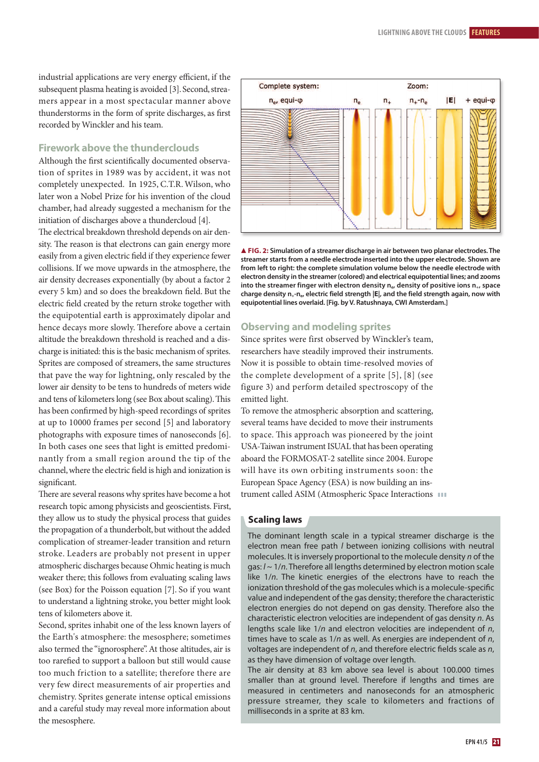industrial applications are very energy efficient, if the subsequent plasma heating is avoided [3]. Second, streamers appear in a most spectacular manner above thunderstorms in the form of sprite discharges, as first recorded by Winckler and his team.

# **Firework above the thunderclouds**

Although the first scientifically documented observation of sprites in 1989 was by accident, it was not completely unexpected. In 1925, C.T.R.Wilson, who later won a Nobel Prize for his invention of the cloud chamber, had already suggested a mechanism for the initiation of discharges above a thundercloud [4].

The electrical breakdown threshold depends on air density. The reason is that electrons can gain energy more easily from a given electric field if they experience fewer collisions. If we move upwards in the atmosphere, the air density decreases exponentially (by about a factor 2 every 5 km) and so does the breakdown field. But the electric field created by the return stroke together with the equipotential earth is approximately dipolar and hence decays more slowly. Therefore above a certain altitude the breakdown threshold is reached and a discharge is initiated: this is the basic mechanism of sprites. Sprites are composed of streamers, the same structures that pave the way for lightning, only rescaled by the lower air density to be tens to hundreds of meters wide and tens of kilometers long (see Box about scaling). This has been confirmed by high-speed recordings of sprites at up to 10000 frames per second [5] and laboratory photographs with exposure times of nanoseconds [6]. In both cases one sees that light is emitted predominantly from a small region around the tip of the channel,where the electric field is high and ionization is significant.

There are several reasons why sprites have become a hot research topic among physicists and geoscientists. First, they allow us to study the physical process that guides the propagation of a thunderbolt, but without the added complication of streamer-leader transition and return stroke. Leaders are probably not present in upper atmospheric discharges because Ohmic heating is much weaker there; this follows from evaluating scaling laws (see Box) for the Poisson equation [7]. So if you want to understand a lightning stroke, you better might look tens of kilometers above it.

Second, sprites inhabit one of the less known layers of the Earth's atmosphere: the mesosphere; sometimes also termed the "ignorosphere".At those altitudes, air is too rarefied to support a balloon but still would cause too much friction to a satellite; therefore there are very few direct measurements of air properties and chemistry. Sprites generate intense optical emissions and a careful study may reveal more information about the mesosphere.



 **FIG. 2: Simulation of a streamer discharge in air between two planar electrodes. The streamer starts from a needle electrode inserted into the upper electrode. Shown are from left to right: the complete simulation volume below the needle electrode with electron density in the streamer(colored) and electrical equipotential lines; and zooms into the streamer finger with electron density ne, density of positive ions n+, space charge density n+-ne, electric field strength |E|, and the field strength again, now with equipotential lines overlaid. [Fig. by V. Ratushnaya, CWI Amsterdam.]**

#### **Observing and modeling sprites**

Since sprites were first observed by Winckler's team, researchers have steadily improved their instruments. Now it is possible to obtain time-resolved movies of the complete development of a sprite [5], [8] (see figure 3) and perform detailed spectroscopy of the emitted light.

To remove the atmospheric absorption and scattering, several teams have decided to move their instruments to space. This approach was pioneered by the joint USA-Taiwan instrument ISUAL that has been operating aboard the FORMOSAT-2 satellite since 2004. Europe will have its own orbiting instruments soon: the European Space Agency (ESA) is now building an instrument called ASIM (Atmospheric Space Interactions **III** 

#### **Scaling laws**

The dominant length scale in a typical streamer discharge is the electron mean free path *l* between ionizing collisions with neutral molecules. It is inversely proportional to the molecule density  $n$  of the gas:  $l \sim 1/n$ . Therefore all lengths determined by electron motion scale like 1/n. The kinetic energies of the electrons have to reach the ionization threshold of the gas molecules which is a molecule-specific value and independent of the gas density; therefore the characteristic electron energies do not depend on gas density. Therefore also the characteristic electron velocities are independent of gas density n. As lengths scale like  $1/n$  and electron velocities are independent of  $n$ , times have to scale as  $1/n$  as well. As energies are independent of  $n$ , voltages are independent of  $n$ , and therefore electric fields scale as  $n$ , as they have dimension of voltage over length.

The air density at 83 km above sea level is about 100.000 times smaller than at ground level. Therefore if lengths and times are measured in centimeters and nanoseconds for an atmospheric pressure streamer, they scale to kilometers and fractions of milliseconds in a sprite at 83 km.